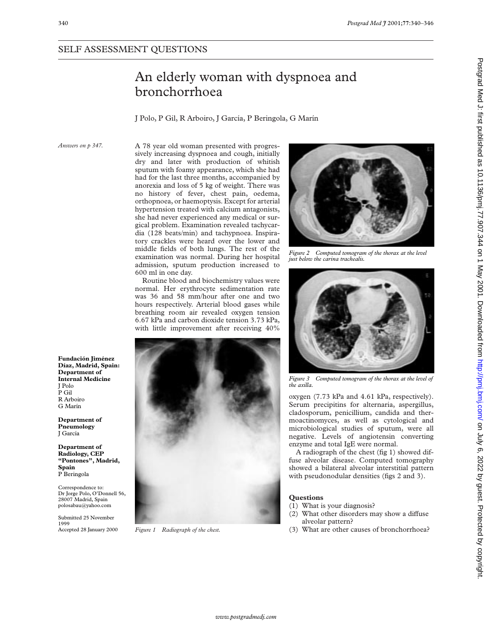# An elderly woman with dyspnoea and bronchorrhoea

J Polo, P Gil, R Arboiro, J García, P Beringola, G Marín

*Answers on p 347.*

**Fundación Jiménez Díaz, Madrid, Spain: Department of Internal Medicine**

**Department of Pneumology** J García

**Department of Radiology, CEP "Pontones", Madrid,**

Correspondence to:

polosabau@yahoo.com Submitted 25 November

Accepted 28 January 2000

**Spain** P Beringola

1999

J Polo P Gil R Arboiro G Marín

A 78 year old woman presented with progressively increasing dyspnoea and cough, initially dry and later with production of whitish sputum with foamy appearance, which she had had for the last three months, accompanied by anorexia and loss of 5 kg of weight. There was no history of fever, chest pain, oedema, orthopnoea, or haemoptysis. Except for arterial hypertension treated with calcium antagonists, she had never experienced any medical or surgical problem. Examination revealed tachycardia (128 beats/min) and tachypnoea. Inspiratory crackles were heard over the lower and middle fields of both lungs. The rest of the examination was normal. During her hospital admission, sputum production increased to 600 ml in one day.

Routine blood and biochemistry values were normal. Her erythrocyte sedimentation rate was 36 and 58 mm/hour after one and two hours respectively. Arterial blood gases while breathing room air revealed oxygen tension 6.67 kPa and carbon dioxide tension 3.73 kPa, with little improvement after receiving  $40\%$ 



*Figure 1 Radiograph of the chest.*



*Figure 2 Computed tomogram of the thorax at the level just below the carina trachealis.*



*Figure 3 Computed tomogram of the thorax at the level of the axilla.*

oxygen (7.73 kPa and 4.61 kPa, respectively). Serum precipitins for alternaria, aspergillus, cladosporum, penicillium, candida and thermoactinomyces, as well as cytological and microbiological studies of sputum, were all negative. Levels of angiotensin converting enzyme and total IgE were normal.

A radiograph of the chest (fig 1) showed diffuse alveolar disease. Computed tomography showed a bilateral alveolar interstitial pattern with pseudonodular densities (figs 2 and 3).

- (1) What is your diagnosis?
- $(2)$  What other disorders may show a diffuse alveolar pattern?
- (3) What are other causes of bronchorrhoea?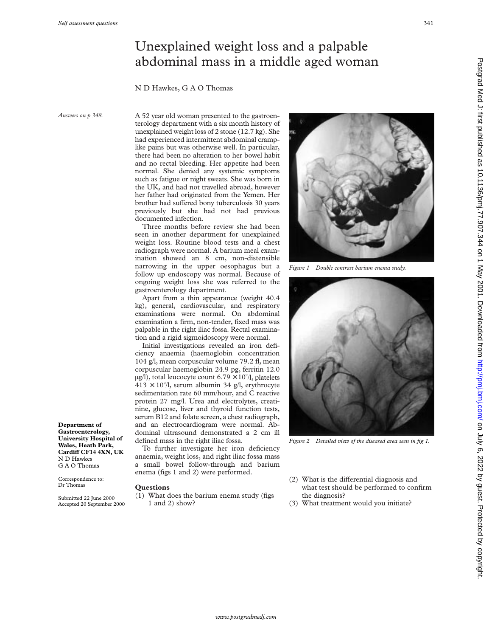## Unexplained weight loss and a palpable abdominal mass in a middle aged woman

### N D Hawkes, G A O Thomas

*Answers on p 348.*

**Department of Gastroenterology, University Hospital of Wales, Heath Park, CardiV CF14 4XN, UK**

N D Hawkes G A O Thomas Correspondence to: Dr Thomas

Submitted 22 June 2000 Accepted 20 September 2000 A 52 year old woman presented to the gastroenterology department with a six month history of unexplained weight loss of 2 stone (12.7 kg). She had experienced intermittent abdominal cramplike pains but was otherwise well. In particular, there had been no alteration to her bowel habit and no rectal bleeding. Her appetite had been normal. She denied any systemic symptoms such as fatigue or night sweats. She was born in the UK, and had not travelled abroad, however her father had originated from the Yemen. Her brother had suffered bony tuberculosis 30 years previously but she had not had previous documented infection.

Three months before review she had been seen in another department for unexplained weight loss. Routine blood tests and a chest radiograph were normal. A barium meal examination showed an 8 cm, non-distensible narrowing in the upper oesophagus but a follow up endoscopy was normal. Because of ongoing weight loss she was referred to the gastroenterology department.

Apart from a thin appearance (weight 40.4 kg), general, cardiovascular, and respiratory examinations were normal. On abdominal examination a firm, non-tender, fixed mass was palpable in the right iliac fossa. Rectal examination and a rigid sigmoidoscopy were normal.

Initial investigations revealed an iron deficiency anaemia (haemoglobin concentration 104 g/l, mean corpuscular volume 79.2 fl, mean corpuscular haemoglobin 24.9 pg, ferritin 12.0  $\mu$ g/l), total leucocyte count 6.79  $\times$  10<sup>9</sup>/l, platelets  $413 \times 10^{9}$ /l, serum albumin 34 g/l, erythrocyte sedimentation rate 60 mm/hour, and C reactive protein 27 mg/l. Urea and electrolytes, creatinine, glucose, liver and thyroid function tests, serum B12 and folate screen, a chest radiograph, and an electrocardiogram were normal. Abdominal ultrasound demonstrated a 2 cm ill defined mass in the right iliac fossa.

To further investigate her iron deficiency anaemia, weight loss, and right iliac fossa mass a small bowel follow-through and barium enema (figs 1 and 2) were performed.

#### **Questions**

(1) What does the barium enema study (figs 1 and 2) show?



*Figure 1 Double contrast barium enema study.*



*Figure 2 Detailed view of the diseased area seen in fig 1.*

- $(2)$  What is the differential diagnosis and what test should be performed to confirm the diagnosis?
- (3) What treatment would you initiate?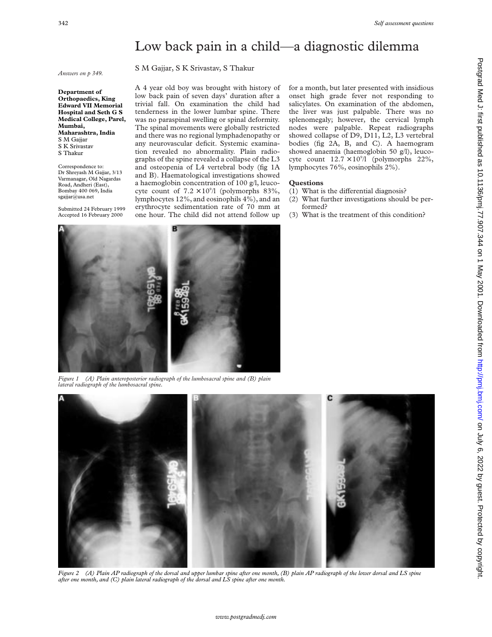### Low back pain in a child—a diagnostic dilemma

S M Gajjar, S K Srivastav, S Thakur

*Answers on p 349.*

**Department of Orthopaedics, King Edward VII Memorial Hospital and Seth G S Medical College, Parel, Mumbai, Maharashtra, India** S M Gajjar S K Srivastav S Thakur

Correspondence to: Dr Shreyash M Gajjar, 3/13 Varmanagar, Old Nagardas Road, Andheri (East), Bombay 400 069, India sgajjar@usa.net

Submitted 24 February 1999 Accepted 16 February 2000

A 4 year old boy was brought with history of low back pain of seven days' duration after a trivial fall. On examination the child had tenderness in the lower lumbar spine. There was no paraspinal swelling or spinal deformity. The spinal movements were globally restricted and there was no regional lymphadenopathy or any neurovascular deficit. Systemic examination revealed no abnormality. Plain radiographs of the spine revealed a collapse of the L3 and osteopenia of L4 vertebral body (fig 1A and B). Haematological investigations showed a haemoglobin concentration of 100 g/l, leucocyte count of  $7.2 \times 10^{9}$ /l (polymorphs 83%, lymphocytes 12%, and eosinophils 4%), and an erythrocyte sedimentation rate of 70 mm at one hour. The child did not attend follow up

for a month, but later presented with insidious onset high grade fever not responding to salicylates. On examination of the abdomen, the liver was just palpable. There was no splenomegaly; however, the cervical lymph nodes were palpable. Repeat radiographs showed collapse of D9, D11, L2, L3 vertebral bodies (fig 2A, B, and C). A haemogram showed anaemia (haemoglobin 50 g/l), leucocyte count  $12.7 \times 10^{9}$ /l (polymorphs 22%, lymphocytes 76%, eosinophils 2%).

- $(1)$  What is the differential diagnosis?
- (2) What further investigations should be performed?
- (3) What is the treatment of this condition?



*Figure 1 (A) Plain anteroposterior radiograph of the lumbosacral spine and (B) plain lateral radiograph of the lumbosacral spine.*



*Figure 2 (A) Plain AP radiograph of the dorsal and upper lumbar spine after one month, (B) plain AP radiograph of the lower dorsal and LS spine after one month, and (C) plain lateral radiograph of the dorsal and LS spine after one month.*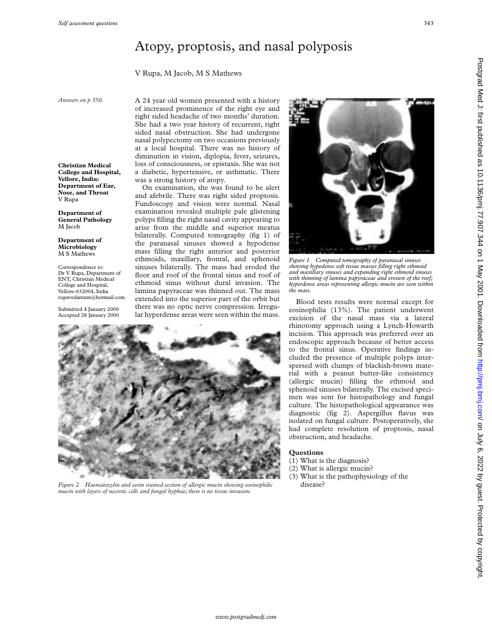### Atopy, proptosis, and nasal polyposis

### V Rupa, M Jacob, M S Mathews

*Answers on p 350.*

**Christian Medical College and Hospital, Vellore, India: Department of Ear, Nose, and Throat** V Rupa

**Department of General Pathology** M Jacob

**Department of Microbiology** M S Mathews

Correspondence to: Dr V Rupa, Department of ENT, Christian Medical College and Hospital, Vellore-632004, India rupavedantam@hotmail.com

Submitted 4 January 2000 Accepted 28 January 2000

A 24 year old women presented with a history of increased prominence of the right eye and right sided headache of two months' duration. She had a two year history of recurrent, right sided nasal obstruction. She had undergone nasal polypectomy on two occasions previously at a local hospital. There was no history of diminution in vision, diplopia, fever, seizures, loss of consciousness, or epistaxis. She was not a diabetic, hypertensive, or asthmatic. There was a strong history of atopy.

On examination, she was found to be alert and afebrile. There was right sided proptosis. Fundoscopy and vision were normal. Nasal examination revealed multiple pale glistening polyps filling the right nasal cavity appearing to arise from the middle and superior meatus bilaterally. Computed tomography (fig 1) of the paranasal sinuses showed a hypodense mass filling the right anterior and posterior ethmoids, maxillary, frontal, and sphenoid sinuses bilaterally. The mass had eroded the floor and roof of the frontal sinus and roof of ethmoid sinus without dural invasion. The lamina papyraceae was thinned out. The mass extended into the superior part of the orbit but there was no optic nerve compression. Irregular hyperdense areas were seen within the mass.



*Figure 2 Haematoxylin and eosin stained section of allergic mucin showing eosinophilic mucin with layers of necrotic cells and fungal hyphae; there is no tissue invasion.*



*Figure 1 Computed tomography of paranasal sinuses showing hypodense soft tissue masses filling right ethmoid and maxillary sinuses and expanding right ethmoid sinuses with thinning of lamina papyraceae and erosion of the roof; hyperdense areas representing allergic mucin are seen within the mass.*

Blood tests results were normal except for eosinophilia (13%). The patient underwent excision of the nasal mass via a lateral rhinotomy approach using a Lynch-Howarth incision. This approach was preferred over an endoscopic approach because of better access to the frontal sinus. Operative findings included the presence of multiple polyps interspersed with clumps of blackish-brown material with a peanut butter-like consistency (allergic mucin) filling the ethmoid and sphenoid sinuses bilaterally. The excised specimen was sent for histopathology and fungal culture. The histopathological appearance was diagnostic (fig 2). Aspergillus flavus was isolated on fungal culture. Postoperatively, she had complete resolution of proptosis, nasal obstruction, and headache.

- (1) What is the diagnosis?
- (2) What is allergic mucin?
- (3) What is the pathophysiology of the disease?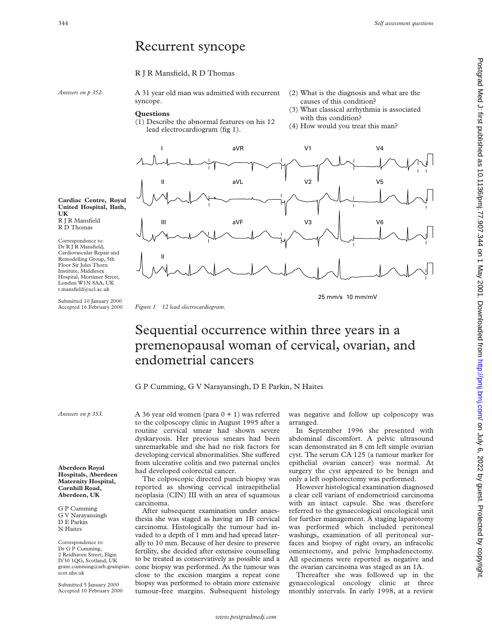### Recurrent syncope

### R J R Mansfield, R D Thomas

*Answers on p 352.*

A 31 year old man was admitted with recurrent syncope.

#### **Questions**

- (1) Describe the abnormal features on his 12 lead electrocardiogram (fig 1).
- (2) What is the diagnosis and what are the causes of this condition?
- (3) What classical arrhythmia is associated with this condition?
- (4) How would you treat this man?



**Cardiac Centre, Royal United Hospital, Bath, UK** R J R Mansfield R D Thomas

Correspondence to: Dr R J R Mansfield, Cardiovascular Repair and Remodelling Group, 5th Floor Sir Jules Thorn Institute, Middlesex Hospital, Mortimer Street, London W1N 8AA, UK r.mansfield@ucl.ac.uk

Submitted 10 January 2000<br>Accepted 16 February 2000

Figure 1 12 lead electrocardiogram.

25 mm/s 10 mm/mV

# Sequential occurrence within three years in a premenopausal woman of cervical, ovarian, and endometrial cancers

G P Cumming, G V Narayansingh, D E Parkin, N Haites

*Answers on p 353.*

**Aberdeen Royal Hospitals, Aberdeen Maternity Hospital, Cornhill Road, Aberdeen, UK**

G P Cumming G V Narayansingh D E Parkin N Haites

Correspondence to: Dr G P Cumming, 2 Reidhaven Street, Elgin IV30 1QG, Scotland, UK grant.cumming@arh.grampian. scot.nhs.uk

Submitted 5 January 2000 Accepted 10 February 2000 A 36 year old women (para  $0 + 1$ ) was referred to the colposcopy clinic in August 1995 after a routine cervical smear had shown severe dyskaryosis. Her previous smears had been unremarkable and she had no risk factors for developing cervical abnormalities. She suffered from ulcerative colitis and two paternal uncles had developed colorectal cancer.

The colposcopic directed punch biopsy was reported as showing cervical intraepithelial neoplasia (CIN) III with an area of squamous carcinoma.

After subsequent examination under anaesthesia she was staged as having an 1B cervical carcinoma. Histologically the tumour had invaded to a depth of 1 mm and had spread laterally to 10 mm. Because of her desire to preserve fertility, she decided after extensive counselling to be treated as conservatively as possible and a cone biopsy was performed. As the tumour was close to the excision margins a repeat cone biopsy was performed to obtain more extensive tumour-free margins. Subsequent histology

was negative and follow up colposcopy was arranged.

In September 1996 she presented with abdominal discomfort. A pelvic ultrasound scan demonstrated an 8 cm left simple ovarian cyst. The serum CA 125 (a tumour marker for epithelial ovarian cancer) was normal. At surgery the cyst appeared to be benign and only a left oophorectomy was performed.

However histological examination diagnosed a clear cell variant of endometrioid carcinoma with an intact capsule. She was therefore referred to the gynaecological oncological unit for further management. A staging laparotomy was performed which included peritoneal washings, examination of all peritoneal surfaces and biopsy of right ovary, an infracolic omentectomy, and pelvic lymphadenectomy. All specimens were reported as negative and the ovarian carcinoma was staged as an 1A.

Thereafter she was followed up in the gynaecological oncology clinic at three monthly intervals. In early 1998, at a review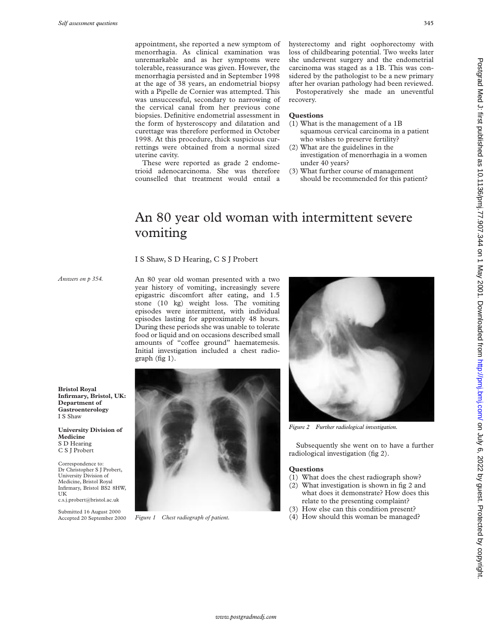appointment, she reported a new symptom of menorrhagia. As clinical examination was unremarkable and as her symptoms were tolerable, reassurance was given. However, the menorrhagia persisted and in September 1998 at the age of 38 years, an endometrial biopsy with a Pipelle de Cornier was attempted. This was unsuccessful, secondary to narrowing of the cervical canal from her previous cone biopsies. Definitive endometrial assessment in the form of hysteroscopy and dilatation and curettage was therefore performed in October 1998. At this procedure, thick suspicious currettings were obtained from a normal sized uterine cavity.

These were reported as grade 2 endometrioid adenocarcinoma. She was therefore counselled that treatment would entail a

hysterectomy and right oophorectomy with loss of childbearing potential. Two weeks later she underwent surgery and the endometrial carcinoma was staged as a 1B. This was considered by the pathologist to be a new primary after her ovarian pathology had been reviewed.

Postoperatively she made an uneventful recovery.

### **Questions**

- (1) What is the management of a 1B squamous cervical carcinoma in a patient who wishes to preserve fertility?
- (2) What are the guidelines in the investigation of menorrhagia in a women under 40 years?
- (3) What further course of management should be recommended for this patient?

# An 80 year old woman with intermittent severe vomiting

### I S Shaw, S D Hearing, C S J Probert

*Answers on p 354.*

**Bristol Royal**

**Department of Gastroenterology** I S Shaw

University Division of Medicine, Bristol Royal

c.s.j.probert@bristol.ac.uk

**Medicine** S D Hearing C S J Probert Correspondence to:

UK

An 80 year old woman presented with a two year history of vomiting, increasingly severe epigastric discomfort after eating, and 1.5 stone (10 kg) weight loss. The vomiting episodes were intermittent, with individual episodes lasting for approximately 48 hours. During these periods she was unable to tolerate food or liquid and on occasions described small amounts of "coffee ground" haematemesis. Initial investigation included a chest radiograph (fig 1).



Figure 1 Chest radiograph of patient.



*Figure 2 Further radiological investigation.*

Subsequently she went on to have a further radiological investigation (fig 2).

- (1) What does the chest radiograph show?
- (2) What investigation is shown in fig 2 and what does it demonstrate? How does this relate to the presenting complaint?
- (3) How else can this condition present?
- (4) How should this woman be managed?